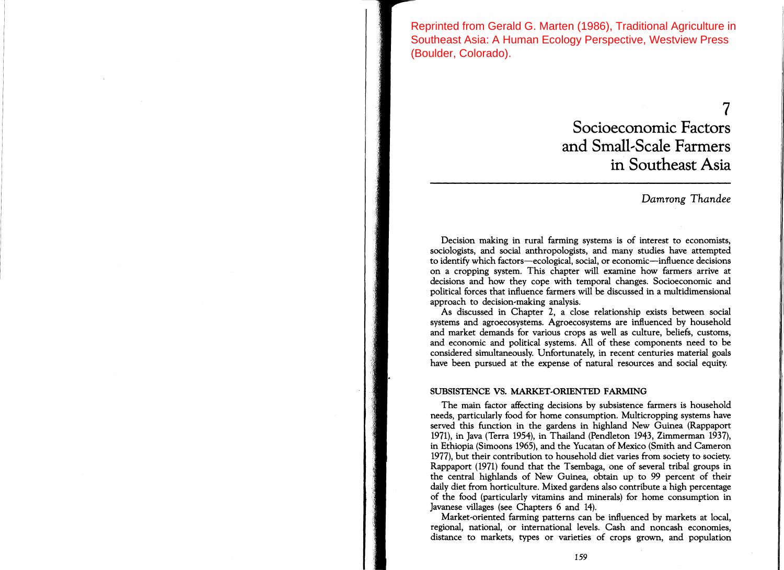Reprinted from Gerald G. Marten (1986), Traditional Agriculture in Southeast Asia: A Human Ecology Perspective, Westview Press (Boulder, Colorado).

# 7 Socioeconomic Factors and Small-Scale Farmers in Southeast Asia

# *Damrong Thandee*

Decision making in rural farming systems is of interest to economists, sociologists, and social anthropologists, and many studies have attempted to identify which factors-ecological, social, or economic-influence decisions on a cropping system. This chapter will examine how farmers arrive at decisions and how they cope with temporal changes. Socioeconomic and political forces that influence farmers will be discussed in a multidimensional approach to decision-making analysis.

As discussed in Chapter 2, a close relationship exists between social systems and agroecosystems. Agroecosystems are influenced by household and market demands for various crops as well as culture, beliefs, customs, and economic and political systems. All of these components need to be considered simultaneously. Unfortunately, in recent centuries material goals have been pursued at the expense of natural resources and social equity.

# SUBSISTENCE VS. MARKET-ORIENTED FARMING

The main factor affecting decisions by subsistence farmers is household needs, particularly food for home consumption. Multicropping systems have served this function in the gardens in highland New Guinea (Rappaport 1971), in Java (Terra 1954), in Thailand (Pendleton 1943, Zimmerman 1937), in Ethiopia (Simoons 1965), and the Yucatan of Mexico (Smith and Cameron 1977), but their contribution to household diet varies from society to society. Rappaport (1971) found that the Tsembaga, one of several tribal groups in the central highlands of New Guinea, obtain up to 99 percent of their daily diet from horticulture. Mixed gardens also contribute a high percentage of the food (particularly vitamins and minerals) for home consumption in Javanese villages (see Chapters 6 and 14).

Market-oriented farming patterns can be influenced by markets at local, regional, national, or international levels. Cash and noncash economies, distance to markets, types or varieties of crops grown, and population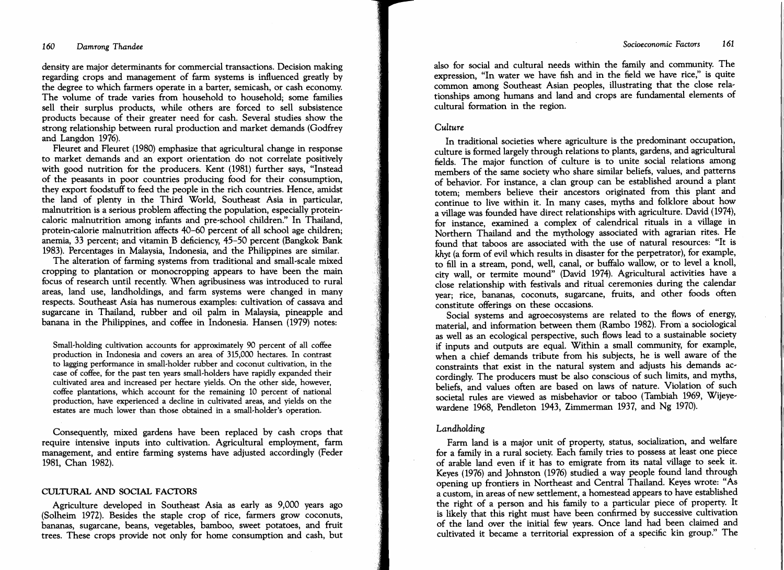density are major determinants for commercial transactions. Decision making regarding crops and management of farm systems is influenced greatly by the degree to which farmers operate in a barter, semicash, or cash economy. The volume of trade varies from household to household; some families sell their surplus products, while others are forced to sell subsistence products because of their greater need for cash. Several studies show the strong relationship between rural production and market demands (Godfrey and Langdon 1976).

Fleuret and Fleuret (1980) emphasize that agricultural change in response to market demands and an export orientation do not correlate positively with good nutrition for the producers. Kent (1981) further says, "Instead of the peasants in poor countries producing food for their consumption, they export foodstuff to feed the people in the rich countries. Hence, amidst the land of plenty in the Third World, Southeast Asia in particular, malnutrition is a serious problem affecting the population, especially proteincaloric malnutrition among infants and pre-school children." In Thailand, protein..calorie malnutrition affects 40-60 percent of all school age children; anemia, 33 percent; and vitamin B deficiency, 45-50 percent (Bangkok Bank 1983). Percentages in Malaysia, Indonesia, and the Philippines are similar.

The alteration of farming systems from traditional and small-scale mixed cropping to plantation or monocropping appears to have been the main focus of research until recently. When agribusiness was introduced to rural areas, land use, landholdings, and farm systems were changed in many respects. Southeast Asia has numerous examples: cultivation of cassava and sugarcane in Thailand, rubber and oil palm in Malaysia, pineapple and banana in the Philippines, and coffee in Indonesia. Hansen (1979) notes:

Small-holding cultivation accounts for approximately 90 percent of all coffee production in Indonesia and covers an area of 315,000 hectares. In contrast to lagging performance in small-holder rubber and coconut cultivation, in the case of coffee, for the past ten years small-holders have rapidly expanded their cultivated area and increased per hectare yields. On the other side, however, coffee plantations, which account for the remaining 10 percent of national production, have experienced a decline in cultivated areas, and yields on the estates are much lower than those obtained in a small-holder's operation.

Consequently, mixed gardens have been replaced by cash crops that require intensive inputs into cultivation. Agricultural employment, farm management, and entire farming systems have adjusted accordingly (Feder 1981, Chan 1982).

#### CULTURAL AND SOCIAL FACTORS

Agriculture developed in Southeast Asia as early as 9,000 years ago (Solheim 1972). Besides the staple crop of rice, farmers grow coconuts, bananas, sugarcane, beans, vegetables, bamboo, sweet potatoes, and fruit trees. These crops provide not only for home consumption and cash, but also for social and cultural needs within the family and community. The expression, "In water we have fish and in the field we have rice," is quite common among Southeast Asian peoples, illustrating that the close rela.. tionships among humans and land and crops are fundamental elements of cultural formation in the region.

#### *Culture*

In traditional societies where agriculture is the predominant occupation, culture is formed largely through relations to plants, gardens, and agricultural fields. The major function of culture is to unite social relations among members of the same society who share similar beliefs, values, and patterns of behavior. For instance, a clan group can be established around a plant totem; members believe their ancestors originated from this plant and continue to live within it. In many cases, myths and folklore about how a village was founded have direct relationships with agriculture. David (1974), for instance, examined a complex of calendrical rituals in a village in Northern Thailand and the mythology associated with agrarian rites. He found that taboos are associated with the use of natural resources: "It is *khyt* (a form of evil which results in disaster for the perpetrator), for example, to fill in a stream, pond, well, canal, or buffalo wallow, or to level a knoll, city wall, or termite mound" (David 1974). Agricultural activities have a close relationship with festivals and ritual ceremonies during the calendar year; rice, bananas, coconuts, sugarcane, fruits, and other foods often constitute offerings on these occasions.

Social systems and agroecosystems are related to the flows of energy, material, and information between them (Rambo 1982). From' a sociological as well as an ecological perspective, such flows lead to a sustainable society if inputs and outputs are equal. Within a small community, for example, when a chief demands tribute from his subjects, he is well aware of the constraints that exist in the natural system and adjusts his demands accordingly. The producers must be also conscious of such limits, and myths, beliefs, and values often are based on laws of nature. Violation of such societal rules are viewed as misbehavior or taboo (Tambiah 1969, Wijeyewardene 1968, Pendleton 1943, Zimmerman 1937, and Ng 1970).

#### *Landholding*

Farm land is a major unit of property, status, socialization, and welfare for a family in a rural society. Each family tries to possess at least one piece of arable land even if it has to emigrate from its natal village to seek it. Keyes (1976) and Johnston (1976) studied a way people found land through opening up frontiers in Northeast and Central Thailand. Keyes wrote: "As a custom, in areas of new settlement, a homestead appears to have established the right of a person and his family to a particular piece of property. It is likely that this right must have been confirmed by successive cultivation of the land over the initial few years. Once land had been claimed and cultivated it became a territorial expression of a specific kin group." The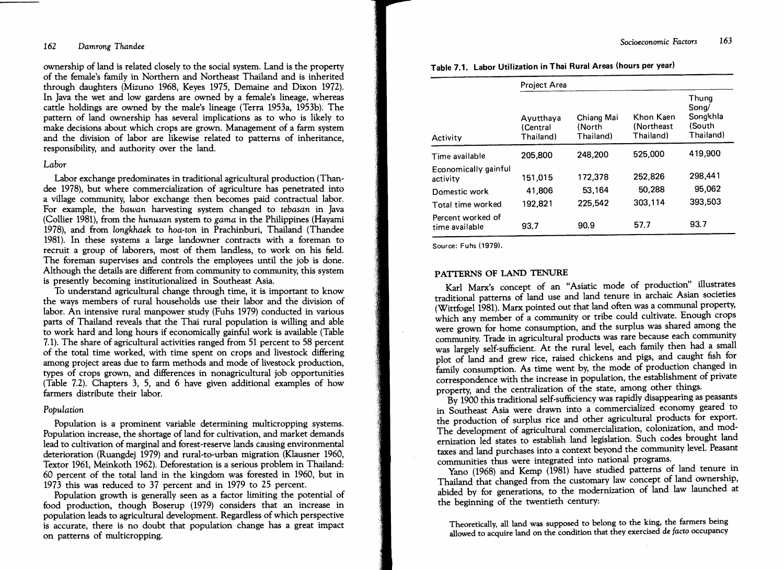#### 162 *Damrong Thandee*

ownership of land is related closely to the social system. Land is the property of the female's family in Northern and Northeast Thailand and is inherited through daughters (Mizuno 1968, Keyes 1975, Demaine and Dixon 1972). In Java the wet and low gardens are owned by a female's lineage, whereas cattle holdings are owned by the male's lineage (Terra 1953a, 1953b). The pattern of land ownership has several implications as to who is likely to make decisions about which crops are grown. Management of a farm system and the division of labor are likewise related to patterns of inheritance, responsibility, and authority over the land.

# *Labor*

Labor exchange predominates in traditional agricultural production (Thandee 1978), but where commercialization of agriculture has penetrated into a village community, labor exchange then becomes paid contractual labor. For example, the *bawan* harvesting system changed to *tebasan* in Java (Collier 1981), from the *hunusan* system to *gama* in the Philippines (Hayami 1978), and from *longkhaek* to *hoa-ton* in Prachinburi, Thailand (Thandee 1981). In these systems a large landowner contracts with a foreman to recruit a group of laborers, most of them landless, to work on his field. The foreman supervises and controls the employees until the job is done. Although the details are different from community to community, this system is presently becoming institutionalized in Southeast Asia.

To understand agricultural change through time, it is important to know the ways members of rural households use their labor and the division of labor. An intensive rural manpower study (Fuhs 1979) conducted in various parts of Thailand reveals that the Thai rural population is willing and able to work hard and long hours if economically gainful work is available (Table 7.1). The share of agricultural activities ranged from 51 percent to 58 percent of the total time worked, with time spent on crops and livestock differing among project areas due to farm methods and mode of livestock production, types of crops grown, and differences in nonagricultural job opportunities (Table 7.2). Chapters 3, 5, and 6 have given additional examples of how farmers distribute their labor.

#### *Population*

Population is a prominent variable determining multicropping systems. Population increase, the shortage of land for cultivation, and market demands lead to cultivation of marginal and forest-reserve lands causing environmental deterioration (Ruangdej 1979) and rural-to-urban migration (Klausner 1960, Textor 1961, Meinkoth 1962). Deforestation is a serious problem in Thailand: 60 percent of the total land in the kingdom was forested in 1960, but in 1973 this was reduced to 37 percent and in 1979 to 25 percent.

Population growth is generally seen as a factor limiting the potential of food production, though Boserup (1979) considers that an increase in population leads to agricultural development. Regardless of which perspective is accurate, there is no doubt that population change has a great impact on patterns of multicropping.

|  | Table 7.1. Labor Utilization in Thai Rural Areas (hours per year) |  |  |  |  |
|--|-------------------------------------------------------------------|--|--|--|--|
|--|-------------------------------------------------------------------|--|--|--|--|

|                                     | Project Area                       |                                   |                                      |                                                   |  |
|-------------------------------------|------------------------------------|-----------------------------------|--------------------------------------|---------------------------------------------------|--|
| Activity                            | Ayutthaya<br>(Central<br>Thailand) | Chiang Mai<br>(North<br>Thailand) | Khon Kaen<br>(Northeast<br>Thailand) | Thung<br>Song/<br>Songkhla<br>(South<br>Thailand) |  |
| Time available                      | 205,800                            | 248.200                           | 525,000                              | 419,900                                           |  |
| Economically gainful<br>activity    | 151.015                            | 172,378                           | 252,826                              | 298,441                                           |  |
| Domestic work                       | 41,806                             | 53,164                            | 50,288                               | 95,062                                            |  |
| Total time worked                   | 192.821                            | 225.542                           | 303,114                              | 393,503                                           |  |
| Percent worked of<br>time available | 93.7                               | 90.9                              | 57.7                                 | 93.7                                              |  |

Source: Fuhs (1979).

# PATfERNS OF LAND TENURE

Karl Marx's concept of an "Asiatic mode of production" illustrates traditional patterns of land use and land tenure in archaic Asian societies (Wittfogel 1981). Marx pointed out that land often was a communal property, which any member of a community or tribe could cultivate. Enough crops were grown for home consumption, and the surplus was shared among the community. Trade in agricultural products was rare because each community was largely self-sufficient. At the rural level, each family then had a small plot of land and grew rice, raised chickens and pigs, and caught fish for family consumption. As time went by, the mode of production changed in correspondence with the increase in population, the establishment of private property, and the centralization of the state, among other things.

By 1900 this traditional self-sufficiency was rapidly disappearing as peasants in Southeast Asia were drawn into a commercialized economy geared to the production of surplus rice and other agricultural products for export. The development of agricultural commercialization, colonization, and mod.. ernization led states to establish land legislation. Such codes brought land taxes and land purchases into a context beyond the community level. Peasant communities thus were integrated into national programs.

Yano (1968) and Kemp (1981) have studied patterns of land tenure in Thailand that changed from the customary law concept of land ownership, abided by for generations, to the modernization of land law launched at the beginning of the twentieth century:

Theoretically, all land was supposed to belong to the king, the farmers being allowed to acquire land on the condition that they exercised de *facto* occupancy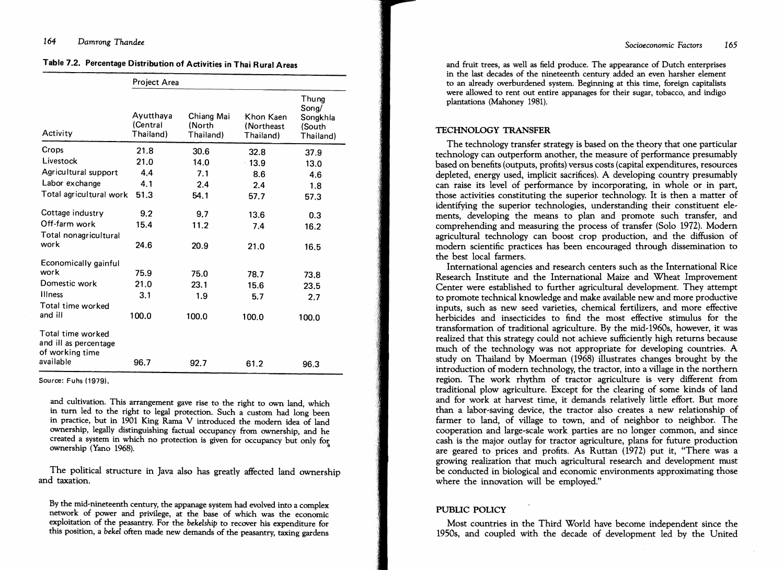# 164 *Damrong Thandee*

# Table 7.2. Percentage Distribution of Activities in Thai Rural Areas

|                                                               | Project Area                       |                                   |                                      |                                                   |  |  |  |  |
|---------------------------------------------------------------|------------------------------------|-----------------------------------|--------------------------------------|---------------------------------------------------|--|--|--|--|
| Activity                                                      | Ayutthava<br>(Central<br>Thailand) | Chiang Mai<br>(North<br>Thailand) | Khon Kaen<br>(Northeast<br>Thailand) | Thung<br>Song/<br>Songkhla<br>(South<br>Thailand) |  |  |  |  |
| Crops                                                         | 21.8                               | 30.6                              | 32.8                                 | 37.9                                              |  |  |  |  |
| Livestock                                                     | 21.0                               | 14.0                              | 13.9                                 | 13.0                                              |  |  |  |  |
| Agricultural support                                          | 4.4                                | 7.1                               | 8.6                                  | 4.6                                               |  |  |  |  |
| Labor exchange                                                | 4.1                                | 2.4                               | 2.4                                  | 1.8                                               |  |  |  |  |
| Total agricultural work                                       | 51.3                               | 54.1                              | 57.7                                 | 57.3                                              |  |  |  |  |
| Cottage industry                                              | 9.2                                | 9.7                               | 13.6                                 | 0.3                                               |  |  |  |  |
| Off-farm work                                                 | 15.4                               | 11.2                              | 7.4                                  | 16.2                                              |  |  |  |  |
| Total nonagricultural<br>work                                 | 24.6                               | 20.9                              | 21.0                                 | 16.5                                              |  |  |  |  |
| Economically gainful                                          |                                    |                                   |                                      |                                                   |  |  |  |  |
| work                                                          | 75.9                               | 75.0                              | 78.7                                 | 73.8                                              |  |  |  |  |
| Domestic work                                                 | 21.0                               | 23.1                              | 15.6                                 | 23.5                                              |  |  |  |  |
| <b>Illness</b>                                                | 3.1                                | 1.9                               | 5.7                                  | 2.7                                               |  |  |  |  |
| Total time worked<br>and ill                                  | 100.0                              | 100.0                             | 100.0                                | 100.0                                             |  |  |  |  |
| Total time worked<br>and ill as percentage<br>of working time |                                    |                                   |                                      |                                                   |  |  |  |  |
| available                                                     | 96.7                               | 92.7                              | 61.2                                 | 96.3                                              |  |  |  |  |

Source: Fuhs (1979).

and cultivation. This arrangement gave rise to the right to own land, which in turn led to the right to legal protection. Such a custom had long been in practice, but in 1901 King Rama V introduced the modern idea of land ownership, legally distinguishing factual occupancy from ownership, and he created a system in which no protection is given for occupancy but only for ownership (Yano 1968). .

The political structure in Java also has greatly affected land ownership and taxation.

By the mid-nineteenth century, the appanage system had evolved into a complex network of power and privilege, at the base of which was the economic exploitation of the peasantry. For the *bekelship* to recover his expenditure for this position, a *bekel* often made new demands of the peasantry, taxing gardens

and fruit trees, as well as field produce. The appearance of Dutch enterprises in the last decades of the nineteenth century added an even harsher element to an already overburdened system. Beginning at this time, foreign capitalists were allowed to rent out entire appanages for their sugar, tobacco, and indigo plantations (Mahoney 1981).

#### TECHNOLOGY TRANSFER

The technology transfer strategy is based on the theory that one particular technology can outperform another, the measure of performance presumably based on benefits (outputs, profits) versus costs (capital expenditures, resources depleted, energy used, implicit sacrifices). A developing country presumably can raise its level of performance by incorporating, in whole or in part, those activities constituting the superior technology. It is then a matter of identifying the superior technologies, understanding their constituent elements, developing the means to plan and promote such transfer, and comprehending and measuring the process of transfer (Solo 1972). Modern agricultural technology can boost crop production, and the diffusion of modern scientific practices has been encouraged through dissemination to the best local farmers.

International agencies and research centers such as the International Rice Research Institute and the International Maize and Wheat Improvement Center were established to further agricultural development. They attempt to promote technical knowledge and make available new and more productive inputs, such as new seed varieties, chemical fertilizers, and more effective herbicides and insecticides to find the most effective stimulus for the transformation of traditional agriculture. By the mid-1960s, however, it was realized that this strategy could not achieve sufficiently high returns because much of the technology was not appropriate for developing countries. A study on Thailand by Moerman (1968) illustrates changes brought by the introduction of modern technology, the tractor, into a village in the northern region. The work rhythm of tractor agriculture is very different from traditional plow agriculture. Except for the clearing of some kinds of land and for work at harvest time, it demands relatively little effort. But more than a labor-saving device, the tractor also creates a new relationship of farmer to land, of village to town, and of neighbor to neighbor. The cooperation and large-scale work parties are no longer common, and since cash is the major outlay for tractor agriculture, plans for future production are geared to prices and profits. As Ruttan (1972) put it, "There was a growing realization that much agricultural research and development must be conducted in biological and economic environments approximating those where the innovation will be employed."

# PUBLIC POLICY

Most countries in the Third World have become independent since the 1950s, and coupled with the decade of development led by the United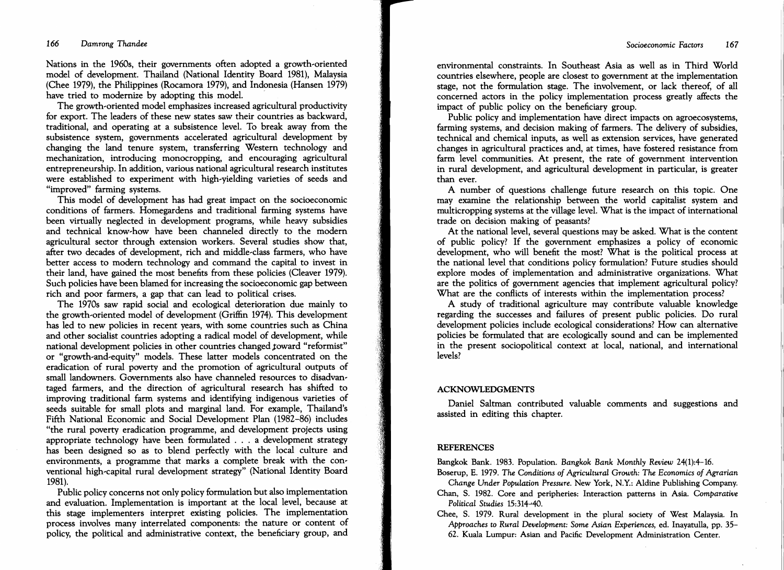Nations in the 1960s, their governments often adopted a growth-oriented model of development. Thailand (National Identity Board 1981), Malaysia (Chee 1979), the Philippines (Rocamora 1979), and Indonesia (Hansen 1979) have tried to modernize by adopting this model.

The growth-oriented model emphasizes increased agricultural productivity for export. The leaders of these new states saw their countries as backward, traditional, and operating at a subsistence level. To break away from the subsistence system, governments accelerated agricultural development by changing the land tenure system, transferring Western technology and mechanization, introducing monocropping, and encouraging agricultural entrepreneurship. In addition, various national agricultural research institutes were established to experiment with high-yielding varieties of seeds and "improved" farming systems.

This model of development has had great impact on the socioeconomic conditions of farmers. Homegardens and traditional farming systems have been virtually neglected in development programs, while heavy subsidies and technical know-how have been channeled directly to the modern agricultural sector through extension workers. Several studies show that, after two decades of development, rich and middle-class farmers, who have better access to modem technology and command the capital to invest in their land, have gained the most benefits from these policies (Cleaver 1979). Such policies have been blamed for increasing the socioeconomic gap between rich and poor farmers, a gap that can lead to political crises.

The 1970s saw rapid social and ecological deterioration due mainly to the growth-oriented model of development (Griffin 1974). This development has led to new policies in recent years, with some countries such as China and other socialist countries adopting a radical model of development, while national development policies in other countries changed toward "reformist" or "growth-and-equity" models. These latter models concentrated on the eradication of rural poverty and the promotion of agricultural outputs of small landowners. Governments also have channeled resources to disadvantaged farmers, and the direction of agricultural research has shifted to improving traditional farm systems· and identifying indigenous varieties of seeds suitable for small plots and marginal land. For example, Thailand's Fifth National Economic and Social Development Plan (1982-86) includes "the rural poverty eradication programme, and development projects using appropriate technology have been formulated . . . a development strategy has been designed so as to blend perfectly with the local culture and environments, a programme that marks a complete break with the conventional high-capital rural development strategy" (National Identity Board 1981).

Public policy concerns not only policy formulation but also implementation and evaluation. Implementation is important at the local level, because at this stage implementers interpret existing policies. The implementation process involves many interrelated components: the nature or content of policy, the political and administrative context, the beneficiary group, and

environmental constraints. In Southeast Asia as well as in Third World countries elsewhere, people are closest to government at the implementation stage, not the formulation stage. The involvement, or lack thereof, of all concerned actors in the policy implementation process greatly affects the impact of public policy on the beneficiary group.

Public policy and implementation have direct impacts on agroecosystems, farming systems, and decision making of farmers. The delivery of subsidies, technical and chemical inputs, as well as extension services, have generated changes in agricultural practices and, at times, have fostered resistance from farm level communities. At present, the rate of government intervention in rural development, and agricultural development in particular, is greater than ever.

A number of questions challenge future research on this topic. One may examine the relationship between the world capitalist system and multicropping systems at the village level. What is the impact of international trade on decision making of peasants?

At the national level, several questions may be asked. What is the content of public policy? If the government emphasizes a policy of economic development, who will benefit the most? What is the political process at the national level that conditions policy formulation? Future studies should explore modes of implementation and administrative organizations. What are the politics of government agencies that implement agricultural policy? What are the conflicts of interests within the implementation process?

A study of traditional agriculture may contribute valuable knowledge regarding the successes and failures of present public policies. Do rural development policies include ecological considerations? How can alternative policies be formulated that are ecologically sound and can be implemented in the present sociopolitical context at local, national, and international levels?

## ACKNOWLEDGMENTS

Daniel Saltman contributed valuable comments and suggestions and assisted in editing this chapter.

## **REFERENCES**

Bangkok Bank. 1983. Population. *Bangkok Bank Monthly Review 24(1):4-16.* 

- Boserup, E. 1979. *The Conditions of Agricultural Growth: The Economics of Agrarian Change Under Population Pressure.* New York, N.Y.: Aldine Publishing Company.
- Chan, S. 1982. Core and peripheries: Interaction patterns in Asia. *Comparative Political Studies 15:314-40.*

Chee, S. 1979. Rural development in the plural society of West Malaysia. In *Approaches* to *Rural Development:* Some *Asian Experiences,* ed. Inayatulla, pp. 35 62. Kuala Lumpur: Asian and Pacific Development Administration Center.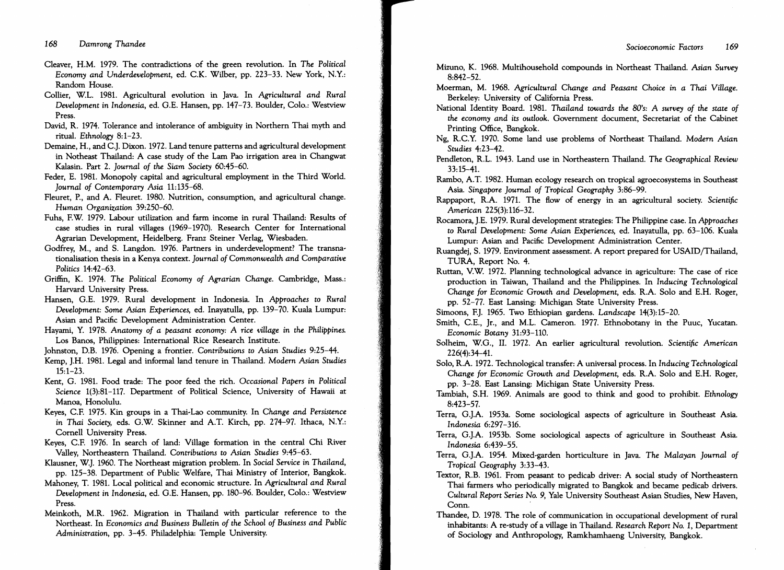Cleaver, H.M. 1979. The contradictions of the green revolution. In *The Political Economy and Underdevelopment,* ed. C.K. Wilber, pp. 223-33. New York, N.Y.: Random House.

- Collier, W.L. 1981. Agricultural evolution in Java. In *Agricultural and Rural Development* in *Indonesia,* ed. G.E. Hansen, pp. 147-73. Boulder, Colo.: Westview Press.
- David, R. 1974. Tolerance and intolerance of ambiguity in Northern Thai myth and ritual. *Ethnology 8:1-23.*
- Demaine, H., and C.J. Dixon. 1972. Land tenure patterns and agricultural development in Notheast Thailand: A case study of the Lam Pao irrigation area in Changwat Kalasin. Part 2. *Journal of the Siam Society 60:45-60.*
- Feder, E. 1981. Monopoly capital and agricultural employment in the Third World. *Journal of Contemporary Asia 11:135-68.*
- Fleuret, P., and A. Fleuret. 1980. Nutrition, consumption, and agricultural change. *Human Organization 39:250-60.*
- Fuhs, F.W. 1979. Labour utilization and farm income in rural Thailand: Results of case studies in rural villages (1969-1970). Research Center for International Agrarian Development, Heidelberg. Franz Steiner Verlag, Wiesbaden.
- Godfrey, M., and S. Langdon. 1976. Partners in underdevelopment? The transnationalisation thesis in a Kenya context. *Journal of Commonwealth and Comparative Politics 14:42-63.*
- Griffin, K. 1974. *The Political Economy of Agrarian Change*. Cambridge, Mass.: Harvard University Press.
- Hansen, G.E. 1979. Rural development in Indonesia. In *Approaches* to *Rural Development: Some Asian Experiences,* ed. Inayatulla, pp. 139-70. Kuala Lumpur: Asian and Pacific Development Administration Center.
- Hayami, Y. 1978. *Anatomy of a peasant economy:* A *rice village* in *the Philippines.*  Los Banos, Philippines: International Rice Research Institute.
- Johnston, D.B. 1976. Opening a frontier. *Contributions* to *Asian Studies 9:25-44.*
- Kemp, J.H. 1981. Legal and informal land tenure in Thailand. *Modern Asian Studies*  15:1-23.
- Kent, G. 1981. Food trade: The poor feed the rich. *Occasional Papers* in *Political Science* 1(3):81-117. Department of Political Science, University of Hawaii at Manoa, Honolulu.
- Keyes, C.F. 1975. Kin groups in a Thai-Lao community. In *Change and Persistence* in *Thai Society,* eds. G.W. Skinner and A.T. Kirch, pp. 274-97. Ithaca, N.Y.: Cornell University Press.
- Keyes, C.F. 1976. In search of land: Village formation in the central Chi River Valley, Northeastern Thailand. *Contributions* to *Asian Studies 9:45-63.*
- Klausner, W.J. 1960. The Northeast migration problem. In *Social Service* in *Thailand,*  pp. 125-38. Department of Public Welfare, Thai Ministry of Interior, Bangkok.
- Mahoney, T. 1981. Local political and economic structure. In Agricultural and Rural *Development* in *Indonesia,* ed. G.E. Hansen, pp. 180-96. Boulder, Colo.: Westview Press.
- Meinkoth, M.R. 1962. Migration in Thailand with particular reference to the Northeast. In *Economics and Business Bulletin of the School of Business and Public Administration,* pp. 3-45. Philadelphia: Temple University.
- Mizuno, K. 1968. Multihousehold compounds in Northeast Thailand. *Asian Survey*  8:842-52.
- Moerman, M. 1968. *AgTicultural Change and Peasant Choice* in *a Thai Village.*  Berkeley: University of California Press.
- National Identity Board. 1981. *Thailand towards the 80's:* A *survey of the state of the economy and its outlook.* Government document, Secretariat of the Cabinet Printing Office, Bangkok.
- Ng, R.C.Y. 1970. Some land use problems of Northeast Thailand. *Modern Asian Studies 4:23-42.*
- Pendleton, R.L. 1943. Land use in Northeastern Thailand. *The Geographical Review* 33:15-41.
- Rambo, A.T. 1982. Human ecology research on tropical agroecosystems in Southeast Asia. *Singapore Journal of Tropical Geography 3:86-99.*
- Rappaport, R.A. 1971. The flow of energy in an agricultural society. *Scientific American* 225(3):116-32.
- Rocamora, J.E. 1979. Rural development strategies: The Philippine case. In *Approaches*  to *Rural Development: Some Asian Experiences,* ed. Inayatulla, pp. 63-106. Kuala Lumpur: Asian and Pacific Development Administration Center.
- Ruangdej, S. 1979. Environment assessment. A report prepared for USAID/Thailand, TURA, Report No. 4.
- Ruttan, V.W. 1972. Planning technological advance in agriculture: The case of rice production in Taiwan, Thailand and the Philippines. In *Inducing Technological Change for* Economic *Growth and Development,* eds. R.A. Solo and E.H. Roger, pp. 52-77. East Lansing: Michigan State University Press.
- Simoons, F.J. 1965. Two Ethiopian gardens. *Landscape 14(3):15-20.*
- Smith, C.E., Jr., and M.L. Cameron. 1977. Ethnobotany in the Puuc, Yucatan. Economic *Botany 31:93-110.*
- Solheim, W.G., II. 1972. An earlier agricultural revolution. *Scientific American*  226(4):34-41.
- Solo, R.A. 1972. Technological transfer: A universal process. In *Inducing Technological Change for* Economic *Growth and Development,* eds. R.A. Solo and E.H. Roger, pp. 3-28. East Lansing: Michigan State University Press.
- Tambiah, S.H. 1969. Animals are good to think and good to prohibit. *Ethnology*  8:423-57.
- Terra, G.J.A. 1953a. Some sociological aspects of agriculture in Southeast Asia. *Indonesia 6:297-316.*
- Terra, G.J.A. 1953b. Some sociological aspects of agriculture in Southeast Asia. *Indonesia 6:439-55.*
- Terra, G.J.A. 1954. Mixed-garden horticulture in Java. The Malayan Journal of Tropical Geography 3:33-43.
- Textor, R.B. 1961. From peasant to pedicab driver: A social study of Northeastern Thai farmers who periodically migrated to Bangkok and became pedicab drivers. *Cultural Report Series* No.9, Yale University Southeast Asian Studies, New Haven, Conn.
- Thandee, D. 1978. The role of communication in occupational development of rural inhabitants: A re-study of a village in Thailand. *Research Report No. 1*, Department of Sociology and Anthropology, Ramkhamhaeng University, Bangkok.